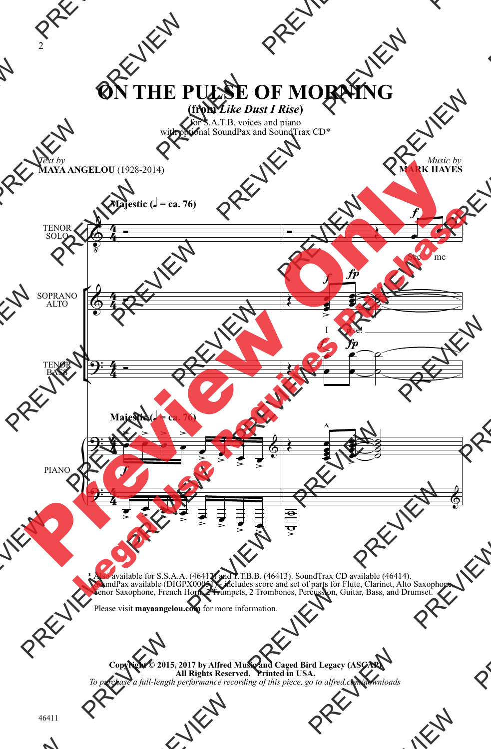## **ON THE PULSE OF MORNING**

## **(from** *Like Dust I Rise***)**

for S.A.T.B. voices and piano with optional SoundPax and SoundTrax CD\*

> *Music by* **MARK HAYES**

## *Text by* **MAYA ANGELOU** (1928-2014)

┢ Ľ **Majestic (** $\sqrt{ }$  **= ca. 76) Majestic** ( TENOR SOLO SOPRANO ALTO TENOR BASS PIANO 4  $\frac{4}{4}$ 4  $\frac{4}{4}$ 4  $\frac{4}{4}$ 4  $\frac{4}{4}$ 4  $\frac{1}{4}$  $\Phi$  $\overline{\xi}$ See f me  $\Phi$ I f rise! fp <u>g:</u> fp  $\overline{\mathbf{P}}$ f  $\overrightarrow{r}$ \* Also available for S.S.A.A. (46412) and T.T.B.B. (46413). SoundTrax CD available (46414). SoundPax available (DIGPX00051) - includes score and set of parts for Flute, Clarinet, Alto Saxophone, Tenor Saxophone, French Horn, 2 Trumpets, 2 Trombones, Percussion, Guitar, Bass, and Drumset. 6  $\overline{\bullet}$  $\frac{1}{2}$  $\frac{1}{\sqrt{2}}$  $\overline{\bullet}$ **13**  $\longrightarrow$  $\overline{\bullet}$  $\sum_{i=1}^{n}$  $\blacksquare$  $\overline{\phantom{0}}$  $\overline{\mathsf{S}}$  $\overline{\phantom{a}}$  $\frac{1}{\sqrt{2}}$   $\sum$  $\frac{1}{2}$  $\frac{1}{\sqrt{2}}$  $\tilde{\mathbf{z}}$  $\begin{array}{ccc} & & & \\ \hline & & & \end{array}$ š  $\bullet$  $\overline{\phantom{a}}$  $\mathbf{A}$  $\frac{8}{3}$  $\ddot{\bm{s}}$  $\overline{\bullet}$  $\bullet$  $\sum_{x}$ g g  $\frac{1}{2}$  $\overline{\bullet}$  $\frac{1}{\sqrt{2}}$   $\frac{1}{2}$  $\frac{1}{2}$  $\frac{1}{\epsilon}$  $\frac{1}{\sqrt{2}}$  $\frac{1}{\epsilon}$  $\frac{1}{\sqrt{2}}$  $\triangle$ PREVIEW PULSE OF MOR<br>
(from Lite Dut I Rise)<br>
with optional SoundPax and SoundPax CD\*<br>
NAXA ANGELOU (1928-2014)<br>
Majestic ( $\epsilon$  = ca. 76)<br>
TENOR<br>
SOPRANO<br>
PREVIEW PREVIEW PREVIEW PREVIEW PREVIEW PREVIEW PREVIEW PREVIEW PR PREVIEW PULSE OF MORNING<br>
(The Dust *H* Rev<br>
(The Dust *H* Rev<br>
(The Dust *H* Rev<br>
(The Dust *Review*)<br>
Majority ( $\omega$ – ca. 76)<br>
While the  $(\omega$ – ca. 76)<br>
(Preview Preview Preview Preview Preview Preview Preview Preview Pr PREVIEW PULSE OF MORNING PREVIEW PULSE OF MORNING PREVIEW PULSE OF MORNING ON THE PULSE OF MORNING PREVIEW PREVIEW PREVIEW PREVIEW PREVIEW PREVIEW PREVIEW PREVIEW PREVIEW PREVIEW PREVIEW PREVIEW PREVIEW PREVIEW PREVIEW PREVIEW PREVIEW PREVIEW PREVIEW PREVIEW PREVIEW PREVIEW PREVIEW PREVIEW PREVIEW PREVIEW PREVIEW PREVIEW PREVIEW PREVIEW PREVIEW PREVIEW PREVIEW PREVIEW PREVIE PREVIEW PREVIEW PREVIEW PREVIEW PREVIEW PREVIEW PREVIEW PREVIEW PREVIEW PREVIEW PREVIEW PREVIEW PREVIEW PREVIEW PREVIEW PREVIEW PREVIEW PREVIEW PREVIEW PREVIEW PREVIEW PREVIEW PREVIEW PREVIEW PREVIEW PREVIEW PREVIEW PREVIE PREVIEW PREVIEW PREVIEW PREVIEW PREVIEW PREVIEW PREVIEW PREVIEW PREVIEW PREVIEW PREVIEW PREVIEW PREVIEW PREVIEW PREVIEW PREVIEW PREVIEW PREVIEW PREVIEW PREVIEW PREVIEW PREVIEW PREVIEW PREVIEW PREVIEW PREVIEW PREVIEW PREVI and T.T.B.B. (46413). SoundTrax CD available (46414).<br>
and T.T.B.B. (46413). SoundTrax CD available (46414).<br>
includes score and set of parts for Flute, Clarinet, Alto Saxophone,<br>
includes score and set of parts for Flute Maria Chicago, Maria Chicago, Maria Chicago, Maria Chicago, Maria Chicago, Maria Chicago, Maria Chicago, Maria Chicago, Maria Chicago, Maria Chicago, Maria Chicago, Maria Chicago, Maria Chicago, Maria Chicago, Maria Chicag  $\begin{picture}(180,10) \put(0,0){\line(1,0){100}} \put(10,0){\line(1,0){100}} \put(10,0){\line(1,0){100}} \put(10,0){\line(1,0){100}} \put(10,0){\line(1,0){100}} \put(10,0){\line(1,0){100}} \put(10,0){\line(1,0){100}} \put(10,0){\line(1,0){100}} \put(10,0){\line(1,0){100}} \put(10,0){\line(1,0){100}} \put(10,0){\line(1,0){100}}$ 

Please visit **mayaangelou.com** for more information.

**Copyright © 2015, 2017 by Alfred Music and Caged Bird Legacy (ASCAP) All Rights Reserved. Printed in USA.**

*To purchase a full-length performance recording of this piece, go to alfred.com/downloads*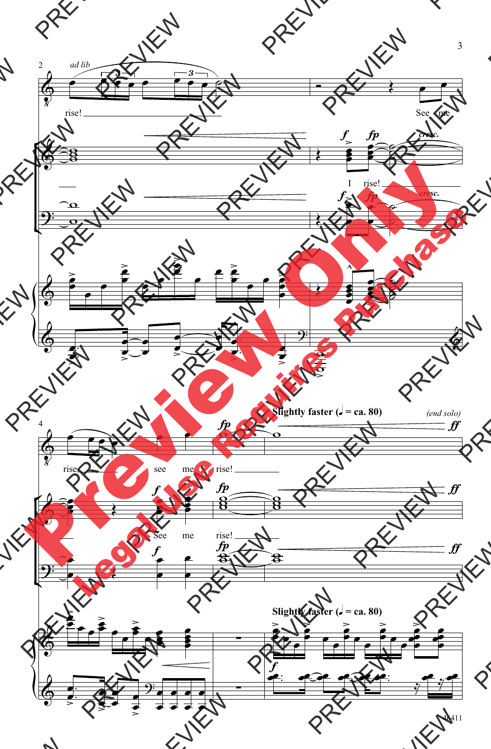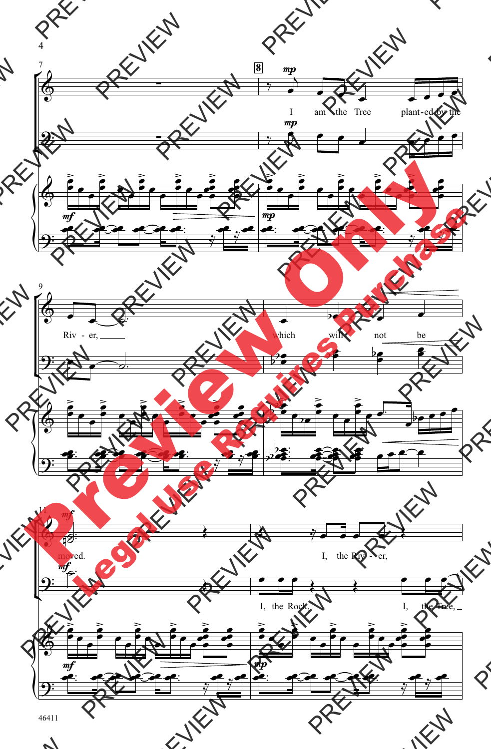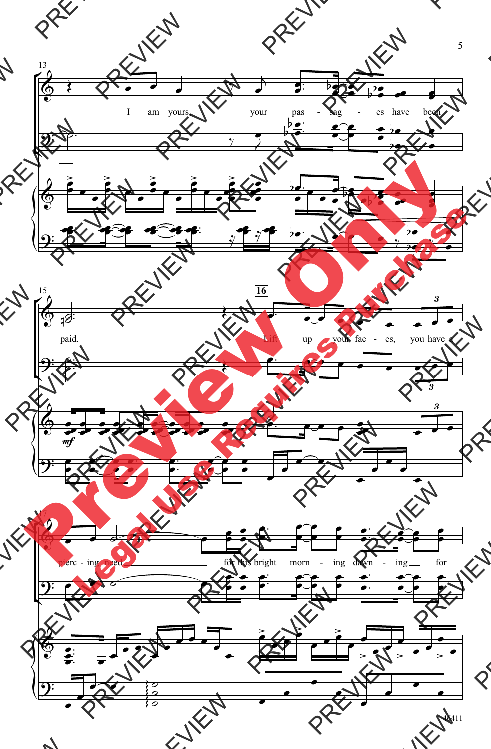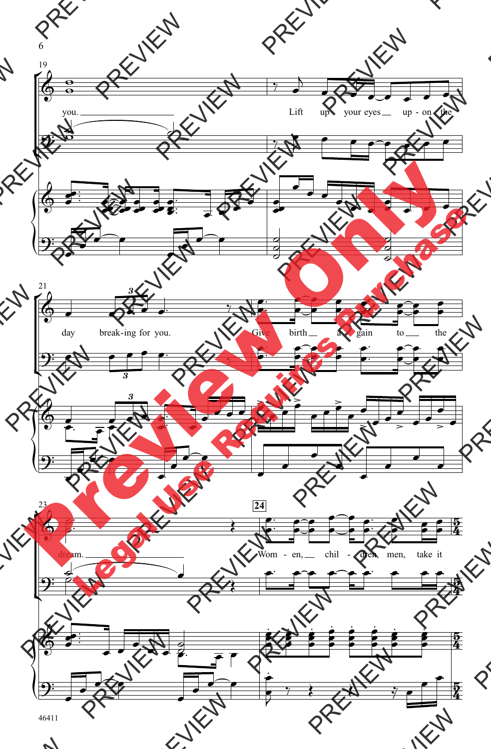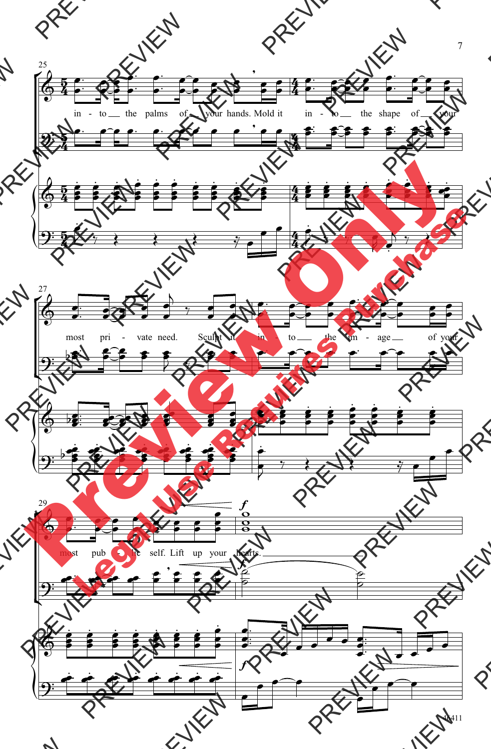

7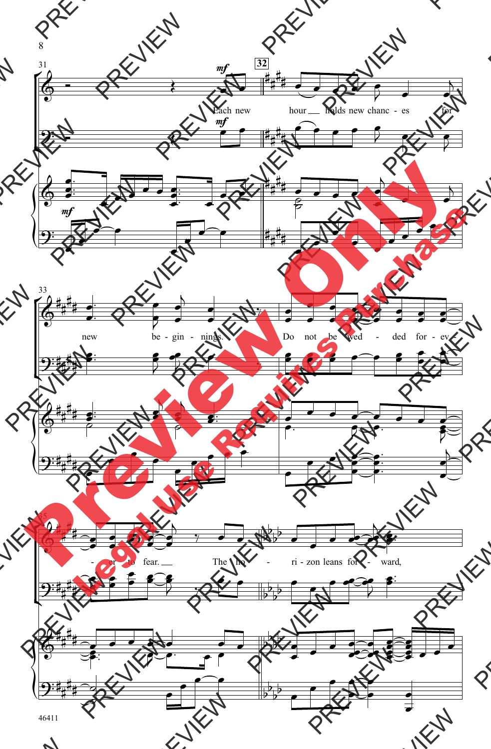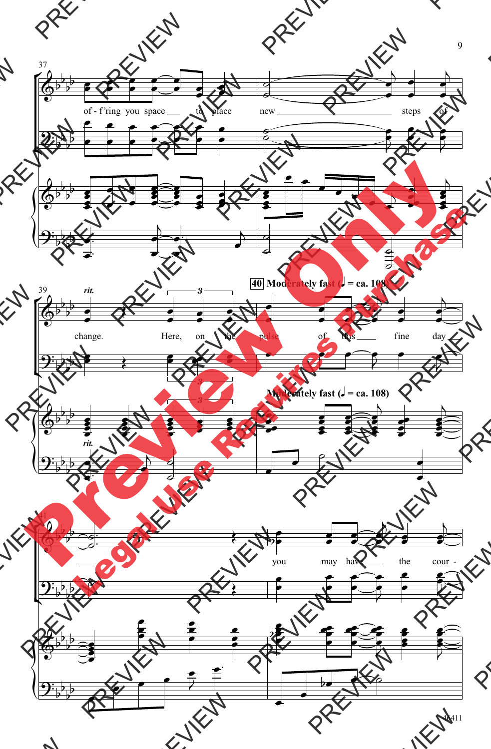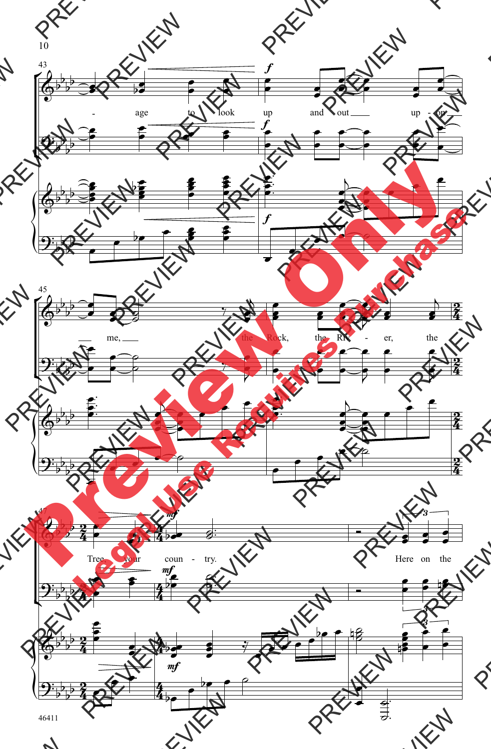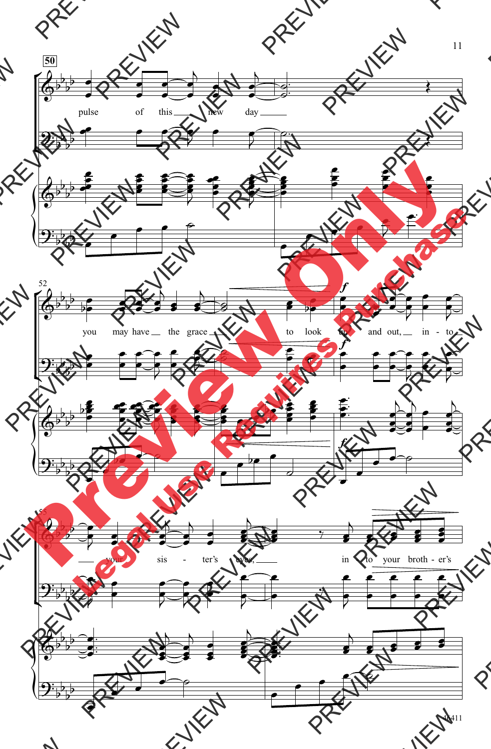

46411

11